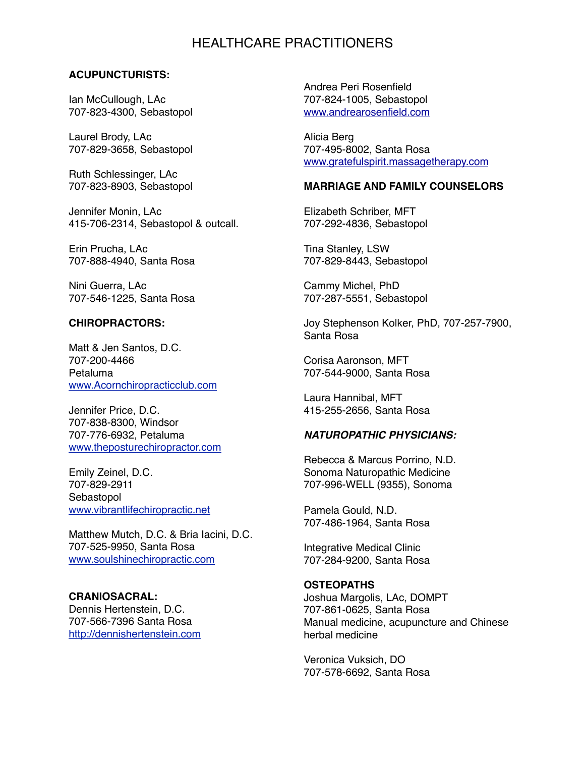# HEALTHCARE PRACTITIONERS

## **ACUPUNCTURISTS:**

Ian McCullough, LAc 707-823-4300, Sebastopol

Laurel Brody, LAc 707-829-3658, Sebastopol

Ruth Schlessinger, LAc 707-823-8903, Sebastopol

Jennifer Monin, LAc 415-706-2314, Sebastopol & outcall.

Erin Prucha, LAc 707-888-4940, Santa Rosa

Nini Guerra, LAc 707-546-1225, Santa Rosa

## **CHIROPRACTORS:**

Matt & Jen Santos, D.C. 707-200-4466 Petaluma [www.Acornchiropracticclub.com](http://www.Acornchiropracticclub.com)

Jennifer Price, D.C. 707-838-8300, Windsor 707-776-6932, Petaluma [www.theposturechiropractor.com](http://www.te)

Emily Zeinel, D.C. 707-829-2911 Sebastopol [www.vibrantlifechiropractic.net](http://www.vibrantlifechiropractic.net)

Matthew Mutch, D.C. & Bria Iacini, D.C. 707-525-9950, Santa Rosa [www.soulshinechiropractic.com](http://www.soulshinechiropractic.com)

**CRANIOSACRAL:** Dennis Hertenstein, D.C. 707-566-7396 Santa Rosa [http://dennishertenstein.com](http://dennishertenstein.com/)

Andrea Peri Rosenfield 707-824-1005, Sebastopol [www.andrearosenfield.com](http://www.andrearosenfield.com)

Alicia Berg 707-495-8002, Santa Rosa [www.gratefulspirit.massagetherapy.com](http://www.gratefulspirit.massagetherapy.com)

# **MARRIAGE AND FAMILY COUNSELORS**

Elizabeth Schriber, MFT 707-292-4836, Sebastopol

Tina Stanley, LSW 707-829-8443, Sebastopol

Cammy Michel, PhD 707-287-5551, Sebastopol

Joy Stephenson Kolker, PhD, 707-257-7900, Santa Rosa

Corisa Aaronson, MFT 707-544-9000, Santa Rosa

Laura Hannibal, MFT 415-255-2656, Santa Rosa

#### *NATUROPATHIC PHYSICIANS:*

Rebecca & Marcus Porrino, N.D. Sonoma Naturopathic Medicine 707-996-WELL (9355), Sonoma

Pamela Gould, N.D. 707-486-1964, Santa Rosa

Integrative Medical Clinic 707-284-9200, Santa Rosa

#### **OSTEOPATHS**

Joshua Margolis, LAc, DOMPT 707-861-0625, Santa Rosa Manual medicine, acupuncture and Chinese herbal medicine

Veronica Vuksich, DO 707-578-6692, Santa Rosa